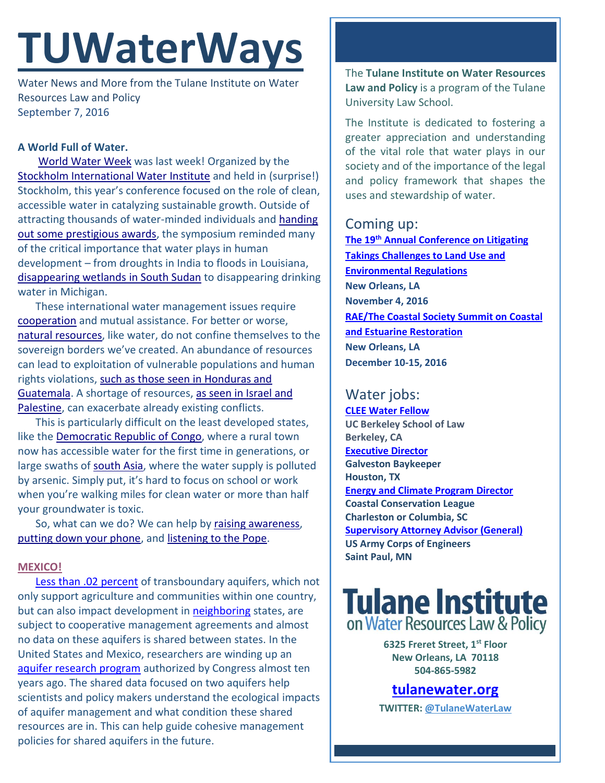# **TUWaterWays**

Water News and More from the Tulane Institute on Water Resources Law and Policy September 7, 2016

### **A World Full of Water.**

[World Water Week](http://www.worldwaterweek.org/) was last week! Organized by the [Stockholm International Water Institute](http://www.siwi.org/) and held in (surprise!) Stockholm, this year's conference focused on the role of clean, accessible water in catalyzing sustainable growth. Outside of attracting thousands of water-minded individuals and [handing](http://www.siwi.org/prizes/stockholmwaterprize/laureates/2016-2/)  [out some prestigious awards,](http://www.siwi.org/prizes/stockholmwaterprize/laureates/2016-2/) the symposium reminded many of the critical importance that water plays in human development – from droughts in India to floods in Louisiana, [disappearing wetlands](http://unep.org/stories/Ecosystems/South-Sudan-wetlands.asp) in South Sudan to disappearing drinking water in Michigan.

These international water management issues require [cooperation](http://s2.quickmeme.com/img/cb/cbd368e6cf52a0ff5bf06e889929d5d9e79d5e81a18efce8ac4ee987bd0c315c.jpg) and mutual assistance. For better or worse, natural [resources,](https://www.theguardian.com/environment/gallery/2016/aug/31/world-water-week-in-pictures) like water, do not confine themselves to the sovereign borders we've created. An abundance of resources can lead to exploitation of vulnerable populations and human rights violations, such as those seen in Honduras and [Guatemala.](https://www.theguardian.com/environment/2016/sep/02/environmental-activists-still-under-threat-in-honduras-six-months-after-berta-caceres-killing) A shortage of resources, [as seen in Israel and](http://www.jpost.com/Arab-Israeli-Conflict/Palestinian-town-Sair-at-odds-with-PA-Water-Authority-over-water-theft-466210)  [Palestine,](http://www.jpost.com/Arab-Israeli-Conflict/Palestinian-town-Sair-at-odds-with-PA-Water-Authority-over-water-theft-466210) can exacerbate already existing conflicts.

This is particularly difficult on the least developed states, like the [Democratic Republic of](https://www.theguardian.com/global-development/gallery/2016/sep/02/water-on-tap-democratic-republic-congo-remote-town-world-water-week-in-pictures) Congo, where a rural town now has accessible water for the first time in generations, or large swaths of [south](https://www.theguardian.com/world/2016/aug/30/more-than-half-of-south-asias-groundwater-too-contaminated-to-use-study) Asia, where the water supply is polluted by arsenic. Simply put, it's hard to focus on school or work when you're walking miles for clean water or more than half your groundwater is toxic.

So, what can we do? We can help b[y raising awareness,](http://aquadoc.typepad.com/waterwired/2016/09/tgif-weekly-water-news-summary-27-august-2-september-2016.html) [putting down your phone,](https://www.unicefusa.org/mission/usa/unicef-tap-project) and [listening to the Pope.](https://www.theguardian.com/world/2016/sep/01/pope-francis-calls-on-christians-to-embrace-green-agenda)

#### **[MEXICO!](https://media.giphy.com/media/pkZT2thRx6LKw/giphy-facebook_s.jpg)**

[Less than .02 percent](http://www.circleofblue.org/2016/groundwater/groundwater-shared-countries-knowledge-void/) of transboundary aquifers, which not only support agriculture and communities within one country, but can also impact development in [neighboring](http://wanna-joke.com/wp-content/uploads/2016/01/neighbor-meme-stalking-google.jpg) states, are subject to cooperative management agreements and almost no data on these aquifers is shared between states. In the United States and Mexico, researchers are winding up an [aquifer research program](https://www.congress.gov/109/plaws/publ448/PLAW-109publ448.pdf) authorized by Congress almost ten years ago. The shared data focused on two aquifers help scientists and policy makers understand the ecological impacts of aquifer management and what condition these shared resources are in. This can help guide cohesive management policies for shared aquifers in the future.

The **Tulane Institute on Water Resources Law and Policy** is a program of the Tulane University Law School.

The Institute is dedicated to fostering a greater appreciation and understanding of the vital role that water plays in our society and of the importance of the legal and policy framework that shapes the uses and stewardship of water.

## Coming up:

**The 19th [Annual Conference on Litigating](http://www.vermontlaw.edu/news-and-events/events/takings-conference)  [Takings Challenges to Land Use and](http://www.vermontlaw.edu/news-and-events/events/takings-conference)  [Environmental Regulations](http://www.vermontlaw.edu/news-and-events/events/takings-conference) New Orleans, LA November 4, 2016 [RAE/The Coastal Society Summit on Coastal](https://www.estuaries.org/images/NOLA_2016/2016-Summit-CFP_FINAL-011516.pdf)  [and Estuarine Restoration](https://www.estuaries.org/images/NOLA_2016/2016-Summit-CFP_FINAL-011516.pdf) New Orleans, LA December 10-15, 2016**

# Water jobs:

**[CLEE Water Fellow](file:///C:/Users/waterlaw/Downloads/CLEE_Water%20Fellow_July%202016.pdf) UC Berkeley School of Law Berkeley, CA [Executive Director](http://www.galvestonbaykeeper.org/job_openings) Galveston Baykeeper Houston, TX [Energy and Climate Program Director](http://coastalconservationleague.org/about/employment-opportunities/energy-climate-program-director/) Coastal Conservation League Charleston or Columbia, SC [Supervisory Attorney Advisor \(General\)](https://www.usajobs.gov/GetJob/ViewDetails/437330200) US Army Corps of Engineers Saint Paul, MN**

# **Tulane Institute** on Water Resources Law & Policy

**6325 Freret Street, 1st Floor New Orleans, LA 70118 504-865-5982** 

# **[tulanewater.org](file:///C:/Users/waterlaw/Downloads/tulanewater.org)**

**TWITTER: [@TulaneWaterLaw](http://www.twitter.com/TulaneWaterLaw)**